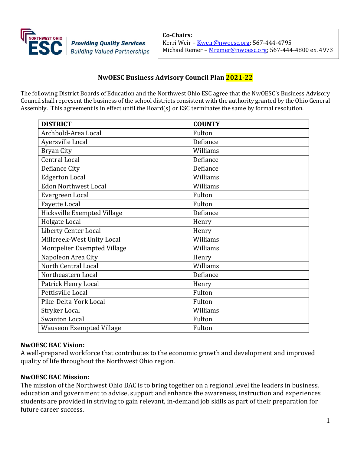

**Co-Chairs:** Kerri Weir - [Kweir@nwoesc.org;](mailto:Kweir@nwoesc.org) 567-444-4795 Michael Remer - [Mremer@nwoesc.org;](mailto:Mremer@nwoesc.org) 567-444-4800 ex. 4973

# **NwOESC Business Advisory Council Plan 2021-22**

The following District Boards of Education and the Northwest Ohio ESC agree that the NwOESC's Business Advisory Council shall represent the business of the school districts consistent with the authority granted by the Ohio General Assembly. This agreement is in effect until the Board(s) or ESC terminates the same by formal resolution.

| <b>DISTRICT</b>                 | <b>COUNTY</b> |
|---------------------------------|---------------|
| Archbold-Area Local             | Fulton        |
| Ayersville Local                | Defiance      |
| <b>Bryan City</b>               | Williams      |
| Central Local                   | Defiance      |
| Defiance City                   | Defiance      |
| <b>Edgerton Local</b>           | Williams      |
| <b>Edon Northwest Local</b>     | Williams      |
| Evergreen Local                 | Fulton        |
| <b>Fayette Local</b>            | Fulton        |
| Hicksville Exempted Village     | Defiance      |
| Holgate Local                   | Henry         |
| Liberty Center Local            | Henry         |
| Millcreek-West Unity Local      | Williams      |
| Montpelier Exempted Village     | Williams      |
| Napoleon Area City              | Henry         |
| North Central Local             | Williams      |
| Northeastern Local              | Defiance      |
| Patrick Henry Local             | Henry         |
| Pettisville Local               | Fulton        |
| Pike-Delta-York Local           | Fulton        |
| <b>Stryker Local</b>            | Williams      |
| <b>Swanton Local</b>            | Fulton        |
| <b>Wauseon Exempted Village</b> | Fulton        |

## **NwOESC BAC Vision:**

A well-prepared workforce that contributes to the economic growth and development and improved quality of life throughout the Northwest Ohio region.

## **NwOESC BAC Mission:**

The mission of the Northwest Ohio BAC is to bring together on a regional level the leaders in business, education and government to advise, support and enhance the awareness, instruction and experiences students are provided in striving to gain relevant, in-demand job skills as part of their preparation for future career success.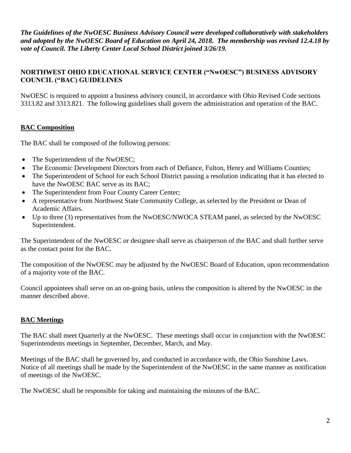*The Guidelines of the NwOESC Business Advisory Council were developed collaboratively with stakeholders and adopted by the NwOESC Board of Education on April 24, 2018. The membership was revised 12.4.18 by vote of Council. The Liberty Center Local School District joined 3/26/19.*

# **NORTHWEST OHIO EDUCATIONAL SERVICE CENTER ("NwOESC") BUSINESS ADVISORY COUNCIL ("BAC) GUIDELINES**

NwOESC is required to appoint a business advisory council, in accordance with Ohio Revised Code sections 3313.82 and 3313.821. The following guidelines shall govern the administration and operation of the BAC.

# **BAC Composition**

The BAC shall be composed of the following persons:

- The Superintendent of the NwOESC;
- The Economic Development Directors from each of Defiance, Fulton, Henry and Williams Counties;
- The Superintendent of School for each School District passing a resolution indicating that it has elected to have the NwOESC BAC serve as its BAC;
- The Superintendent from Four County Career Center;
- A representative from Northwest State Community College, as selected by the President or Dean of Academic Affairs.
- Up to three (3) representatives from the NwOESC/NWOCA STEAM panel, as selected by the NwOESC Superintendent.

The Superintendent of the NwOESC or designee shall serve as chairperson of the BAC and shall further serve as the contact point for the BAC.

The composition of the NwOESC may be adjusted by the NwOESC Board of Education, upon recommendation of a majority vote of the BAC.

Council appointees shall serve on an on-going basis, unless the composition is altered by the NwOESC in the manner described above.

## **BAC Meetings**

The BAC shall meet Quarterly at the NwOESC. These meetings shall occur in conjunction with the NwOESC Superintendents meetings in September, December, March, and May.

Meetings of the BAC shall be governed by, and conducted in accordance with, the Ohio Sunshine Laws. Notice of all meetings shall be made by the Superintendent of the NwOESC in the same manner as notification of meetings of the NwOESC.

The NwOESC shall be responsible for taking and maintaining the minutes of the BAC.